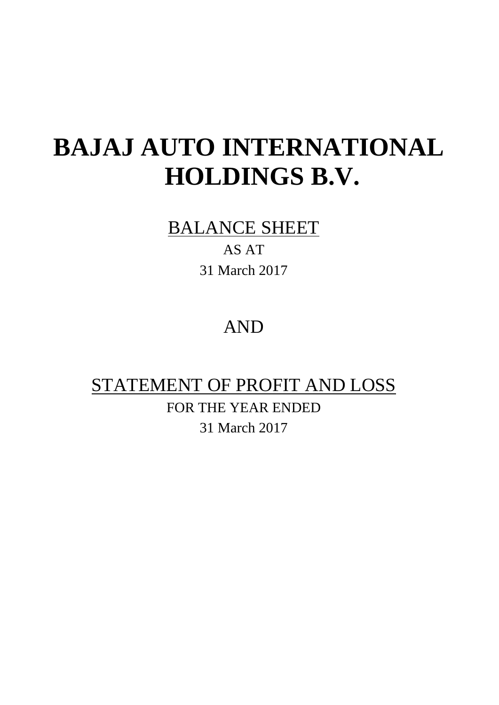# **BAJAJ AUTO INTERNATIONAL HOLDINGS B.V.**

# BALANCE SHEET

AS AT 31 March 2017

# AND

# STATEMENT OF PROFIT AND LOSS

FOR THE YEAR ENDED 31 March 2017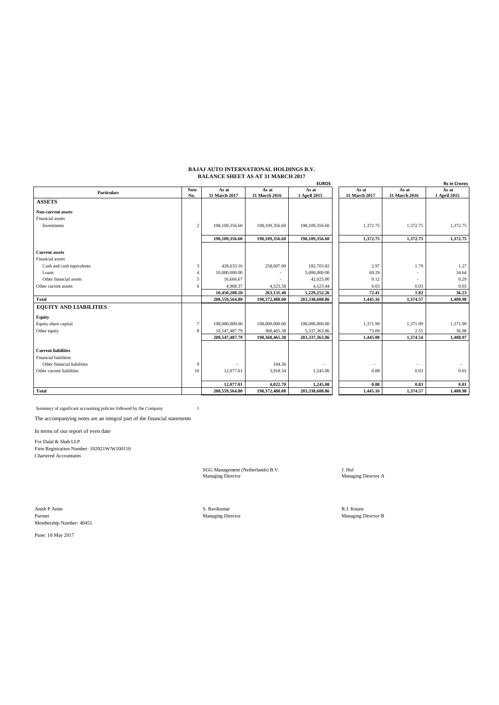#### **BAJAJ AUTO INTERNATIONAL HOLDINGS B.V. BALANCE SHEET AS AT 31 MARCH 2017**

|                               |                 |                  |                | <b>EUROS</b>   |               |               | <b>Rs in Crores</b> |
|-------------------------------|-----------------|------------------|----------------|----------------|---------------|---------------|---------------------|
| <b>Particulars</b>            | <b>Note</b>     | As at            | As at          | As at          | As at         | As at         | As at               |
|                               | No.             | 31 March 2017    | 31 March 2016  | 1 April 2015   | 31 March 2017 | 31 March 2016 | 1 April 2015        |
| <b>ASSETS</b>                 |                 |                  |                |                |               |               |                     |
| Non-current assets            |                 |                  |                |                |               |               |                     |
| Financial assets              |                 |                  |                |                |               |               |                     |
| Investments                   | $\overline{2}$  | 198, 109, 356.60 | 198,109,356.60 | 198,109,356.60 | 1,372.75      | 1,372.75      | 1,372.75            |
|                               |                 |                  |                |                |               |               |                     |
|                               |                 | 198,109,356.60   | 198,109,356.60 | 198,109,356.60 | 1.372.75      | 1,372.75      | 1.372.75            |
| <b>Current assets</b>         |                 |                  |                |                |               |               |                     |
| Financial assets              |                 |                  |                |                |               |               |                     |
| Cash and cash equivalents     | 3               | 428,633.16       | 258,607.90     | 182,703.82     | 2.97          | 1.79          | 1.27                |
| Loans                         | $\overline{4}$  | 10,000,000.00    |                | 5,000,000.00   | 69.29         |               | 34.64               |
| Other financial assets        | 5               | 16,666.67        |                | 42,025.00      | 0.12          |               | 0.29                |
| Other current assets          | 6               | 4,908.37         | 4,523.58       | 4,523.44       | 0.03          | 0.03          | 0.03                |
|                               |                 | 10,450,208.20    | 263,131.48     | 5,229,252.26   | 72.41         | 1.82          | 36.23               |
| Total                         |                 | 208,559,564.80   | 198,372,488.08 | 203,338,608.86 | 1,445.16      | 1,374.57      | 1,408.98            |
| <b>EQUITY AND LIABILITIES</b> |                 |                  |                |                |               |               |                     |
| <b>Equity</b>                 |                 |                  |                |                |               |               |                     |
| Equity share capital          | $7\phantom{.0}$ | 198,000,000.00   | 198,000,000.00 | 198,000,000.00 | 1,371.99      | 1,371.99      | 1,371.99            |
| Other equity                  | 8               | 10,547,487.79    | 368,465.38     | 5,337,363.86   | 73.09         | 2.55          | 36.98               |
|                               |                 | 208,547,487.79   | 198,368,465.38 | 203,337,363.86 | 1.445.08      | 1,374.54      | 1,408.97            |
|                               |                 |                  |                |                |               |               |                     |
| <b>Current liabilities</b>    |                 |                  |                |                |               |               |                     |
| <b>Financial liabilities</b>  |                 |                  |                |                |               |               |                     |
| Other financial liabilities   | 9               |                  | 104.36         |                |               |               |                     |
| Other current liabilities     | 10              | 12,077.01        | 3,918.34       | 1,245.00       | 0.08          | 0.03          | 0.01                |
|                               |                 |                  |                |                |               |               |                     |
|                               |                 | 12,077.01        | 4,022.70       | 1,245.00       | 0.08          | 0.03          | 0.01                |
| <b>Total</b>                  |                 | 208,559,564.80   | 198,372,488.08 | 203,338,608.86 | 1,445.16      | 1,374.57      | 1,408.98            |

Summary of significant accounting policies followed by the Company 1

The accompanying notes are an integral part of the financial statements

In terms of our report of even date

For Dalal & Shah LLP Firm Registration Number: 102021W/W100110 Chartered Accountants

SGG Management (Netherlands) B.V. J. Hol J. Hol J. Hol Managing Director A

Anish P Amin No. 8. Ravikumar New York S. Ravikumar New York S. Ravikumar New York S. Ravikumar New York S. Ravikumar New York S. Ravikumar New York S. Ravikumar New York S. Ravikumar New York S. Ravikumar New York S. Ravi Partner Managing Director Managing Director Managing Director B Membership Number: 40451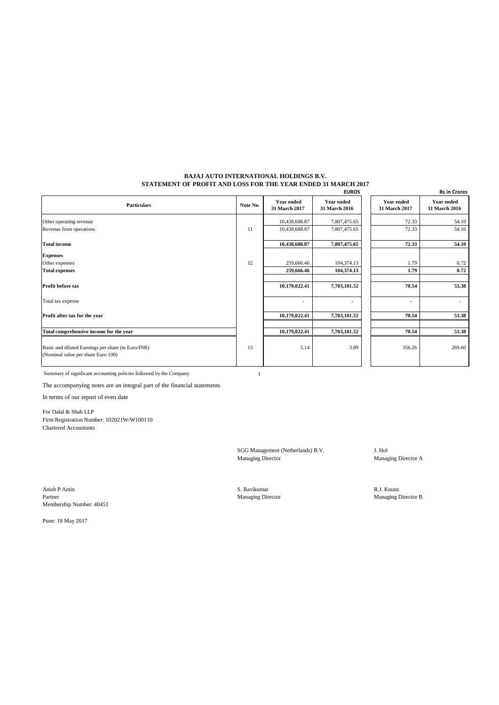#### **BAJAJ AUTO INTERNATIONAL HOLDINGS B.V. STATEMENT OF PROFIT AND LOSS FOR THE YEAR ENDED 31 MARCH 2017**

|                                                                                          |          |                                    | <b>EUROS</b>                       |                                    | <b>Rs in Crores</b>                |
|------------------------------------------------------------------------------------------|----------|------------------------------------|------------------------------------|------------------------------------|------------------------------------|
| <b>Particulars</b>                                                                       | Note No. | <b>Year ended</b><br>31 March 2017 | <b>Year ended</b><br>31 March 2016 | <b>Year ended</b><br>31 March 2017 | <b>Year ended</b><br>31 March 2016 |
| Other operating revenue                                                                  |          | 10,438,688.87                      | 7,807,475.65                       | 72.33                              | 54.10                              |
| Revenue from operations                                                                  | 11       | 10,438,688.87                      | 7,807,475.65                       | 72.33                              | 54.10                              |
| <b>Total income</b>                                                                      |          | 10,438,688.87                      | 7,807,475.65                       | 72.33                              | 54.10                              |
| <b>Expenses</b>                                                                          |          |                                    |                                    |                                    |                                    |
| Other expenses                                                                           | 12       | 259,666.46                         | 104,374.13                         | 1.79                               | 0.72                               |
| <b>Total expenses</b>                                                                    |          | 259,666.46                         | 104,374.13                         | 1.79                               | 0.72                               |
| Profit before tax                                                                        |          | 10,179,022.41                      | 7,703,101.52                       | 70.54                              | 53.38                              |
| Total tax expense                                                                        |          | $\overline{a}$                     |                                    | $\overline{\phantom{a}}$           | ۰                                  |
| Profit after tax for the year                                                            |          | 10,179,022.41                      | 7,703,101.52                       | 70.54                              | 53.38                              |
| Total comprehensive income for the year                                                  |          | 10,179,022.41                      | 7,703,101.52                       | 70.54                              | 53.38                              |
| Basic and diluted Earnings per share (in Euro/INR)<br>(Nominal value per share Euro 100) | 13       | 5.14                               | 3.89                               | 356.26                             | 269.60                             |

Summary of significant accounting policies followed by the Company 1

The accompanying notes are an integral part of the financial statements

In terms of our report of even date

For Dalal & Shah LLP Firm Registration Number: 102021W/W100110 Chartered Accountants

> SGG Management (Netherlands) B.V. J. Hol Managing Director Managing Director A

Anish P Amin S. Ravikumar R.J. Knunz R.J. Knunz R.J. Knunz S. Ravikumar S. Ravikumar R.J. Knunz R.J. Knunz Partner Managing Director Managing Director Managing Director B Membership Number: 40451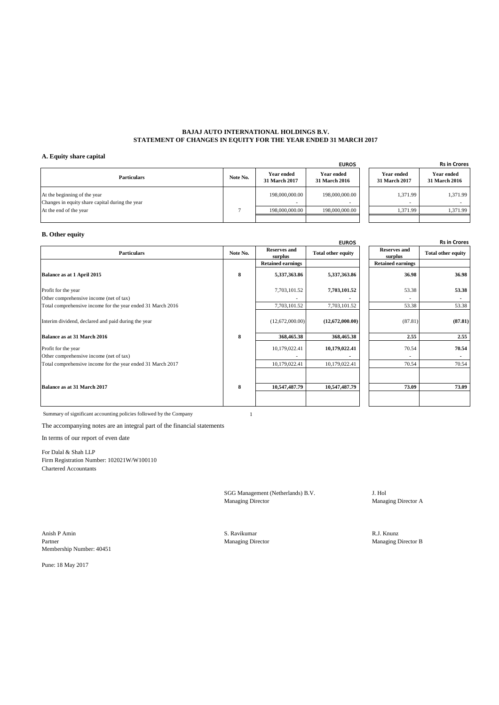#### **BAJAJ AUTO INTERNATIONAL HOLDINGS B.V. STATEMENT OF CHANGES IN EQUITY FOR THE YEAR ENDED 31 MARCH 2017**

#### **A. Equity share capital**

|                                                                                 |          |                                            | <b>EUROS</b>                              |                             | <b>Rs in Crore</b>                 |
|---------------------------------------------------------------------------------|----------|--------------------------------------------|-------------------------------------------|-----------------------------|------------------------------------|
| <b>Particulars</b>                                                              | Note No. | Year ended<br>31 March 2017                | <b>Year ended</b><br><b>31 March 2016</b> | Year ended<br>31 March 2017 | <b>Year ended</b><br>31 March 2016 |
| At the beginning of the year<br>Changes in equity share capital during the year |          | 198,000,000,00<br>$\overline{\phantom{a}}$ | 198,000,000,00                            | 1.371.99                    | 1.371.99                           |
| At the end of the year                                                          |          | 198,000,000,00                             | 198,000,000,00                            | 1,371.99                    | 1.371.99                           |
|                                                                                 |          |                                            |                                           |                             |                                    |

| <b>EUROS</b> |                                    | <b>Rs in Crores</b>         |
|--------------|------------------------------------|-----------------------------|
| ded<br>2016  | <b>Year ended</b><br>31 March 2017 | Year ended<br>31 March 2016 |
| 0,000.00     | 1.371.99                           | 1,371.99                    |
|              |                                    |                             |
| 0,000.00     | 1.371.99                           | 1.371.99                    |
|              |                                    |                             |

#### **B. Other equity**

|                                                             |          |                                | <b>EUROS</b>              |                                | <b>Rs in Crores</b>       |
|-------------------------------------------------------------|----------|--------------------------------|---------------------------|--------------------------------|---------------------------|
| <b>Particulars</b>                                          | Note No. | <b>Reserves and</b><br>surplus | <b>Total other equity</b> | <b>Reserves and</b><br>surplus | <b>Total other equity</b> |
|                                                             |          | <b>Retained earnings</b>       |                           | <b>Retained earnings</b>       |                           |
| Balance as at 1 April 2015                                  | 8        | 5,337,363.86                   | 5,337,363.86              | 36.98                          | 36.98                     |
| Profit for the year                                         |          | 7,703,101.52                   | 7,703,101.52              | 53.38                          | 53.38                     |
| Other comprehensive income (net of tax)                     |          |                                |                           |                                |                           |
| Total comprehensive income for the year ended 31 March 2016 |          | 7,703,101.52                   | 7,703,101.52              | 53.38                          | 53.38                     |
| Interim dividend, declared and paid during the year         |          | (12,672,000.00)                | (12,672,000.00)           | (87.81)                        | (87.81)                   |
| Balance as at 31 March 2016                                 | 8        | 368,465.38                     | 368,465.38                | 2.55                           | 2.55                      |
| Profit for the year                                         |          | 10,179,022.41                  | 10,179,022.41             | 70.54                          | 70.54                     |
| Other comprehensive income (net of tax)                     |          |                                |                           |                                |                           |
| Total comprehensive income for the year ended 31 March 2017 |          | 10,179,022.41                  | 10,179,022.41             | 70.54                          | 70.54                     |
|                                                             |          |                                |                           |                                |                           |
| Balance as at 31 March 2017                                 | 8        | 10,547,487.79                  | 10,547,487.79             | 73.09                          | 73.09                     |
|                                                             |          |                                |                           |                                |                           |

| <b>EUROS</b> |                                | <b>Rs in Crores</b>       |
|--------------|--------------------------------|---------------------------|
| equity       | <b>Reserves and</b><br>surplus | <b>Total other equity</b> |
|              | <b>Retained earnings</b>       |                           |
| 7,363.86     | 36.98                          | 36.98                     |
| 3,101.52     | 53.38                          | 53.38                     |
| 3,101.52     | 53.38                          | 53.38                     |
| 2,000.00)    | (87.81)                        | (87.81)                   |
| 3,465.38     | 2.55                           | 2.55                      |
| 9,022.41     | 70.54                          | 70.54                     |
| 9,022.41     | 70.54                          | 70.54                     |
|              |                                |                           |
| 7,487.79     | 73.09                          | 73.09                     |
|              |                                |                           |

Summary of significant accounting policies followed by the Company 1

The accompanying notes are an integral part of the financial statements

In terms of our report of even date

For Dalal & Shah LLP Firm Registration Number: 102021W/W100110 Chartered Accountants

SGG Management (Netherlands) B.V. J. Hol Managing Director Manag

Managing Director A

Anish P Amin S. Ravikumar R.J. Knunz R.J. Knunz R.J. Knunz R.J. Knunz R.J. Knunz R.J. Knunz R.J. Knunz R.J. Knunz Partner Managing Director Managing Director Managing Director B Membership Number: 40451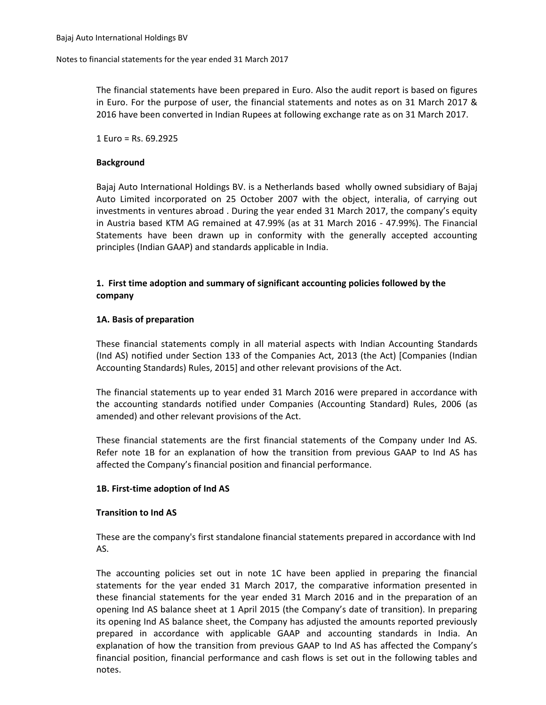The financial statements have been prepared in Euro. Also the audit report is based on figures in Euro. For the purpose of user, the financial statements and notes as on 31 March 2017 & 2016 have been converted in Indian Rupees at following exchange rate as on 31 March 2017.

1 Euro = Rs. 69.2925

#### **Background**

Bajaj Auto International Holdings BV. is a Netherlands based wholly owned subsidiary of Bajaj Auto Limited incorporated on 25 October 2007 with the object, interalia, of carrying out investments in ventures abroad . During the year ended 31 March 2017, the company's equity in Austria based KTM AG remained at 47.99% (as at 31 March 2016 - 47.99%). The Financial Statements have been drawn up in conformity with the generally accepted accounting principles (Indian GAAP) and standards applicable in India.

# **1. First time adoption and summary of significant accounting policies followed by the company**

#### **1A. Basis of preparation**

These financial statements comply in all material aspects with Indian Accounting Standards (Ind AS) notified under Section 133 of the Companies Act, 2013 (the Act) [Companies (Indian Accounting Standards) Rules, 2015] and other relevant provisions of the Act.

The financial statements up to year ended 31 March 2016 were prepared in accordance with the accounting standards notified under Companies (Accounting Standard) Rules, 2006 (as amended) and other relevant provisions of the Act.

These financial statements are the first financial statements of the Company under Ind AS. Refer note 1B for an explanation of how the transition from previous GAAP to Ind AS has affected the Company's financial position and financial performance.

#### **1B. First-time adoption of Ind AS**

#### **Transition to Ind AS**

These are the company's first standalone financial statements prepared in accordance with Ind AS.

The accounting policies set out in note 1C have been applied in preparing the financial statements for the year ended 31 March 2017, the comparative information presented in these financial statements for the year ended 31 March 2016 and in the preparation of an opening Ind AS balance sheet at 1 April 2015 (the Company's date of transition). In preparing its opening Ind AS balance sheet, the Company has adjusted the amounts reported previously prepared in accordance with applicable GAAP and accounting standards in India. An explanation of how the transition from previous GAAP to Ind AS has affected the Company's financial position, financial performance and cash flows is set out in the following tables and notes.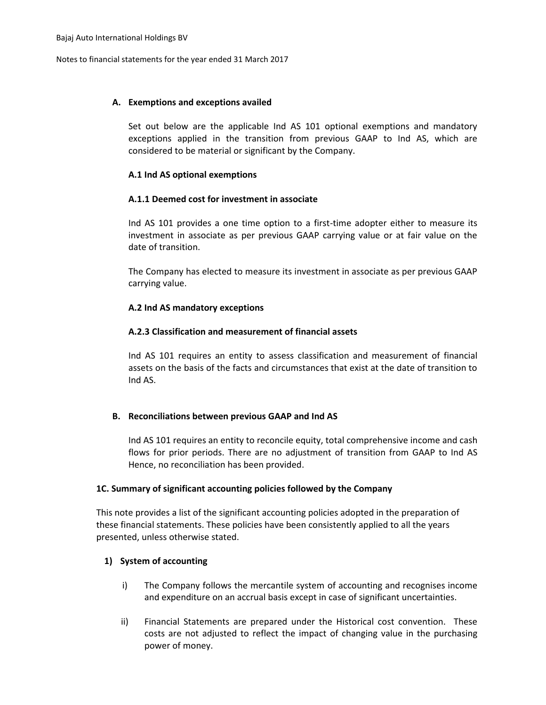#### **A. Exemptions and exceptions availed**

Set out below are the applicable Ind AS 101 optional exemptions and mandatory exceptions applied in the transition from previous GAAP to Ind AS, which are considered to be material or significant by the Company.

#### **A.1 Ind AS optional exemptions**

# **A.1.1 Deemed cost for investment in associate**

Ind AS 101 provides a one time option to a first-time adopter either to measure its investment in associate as per previous GAAP carrying value or at fair value on the date of transition.

The Company has elected to measure its investment in associate as per previous GAAP carrying value.

# **A.2 Ind AS mandatory exceptions**

# **A.2.3 Classification and measurement of financial assets**

Ind AS 101 requires an entity to assess classification and measurement of financial assets on the basis of the facts and circumstances that exist at the date of transition to Ind AS.

# **B. Reconciliations between previous GAAP and Ind AS**

Ind AS 101 requires an entity to reconcile equity, total comprehensive income and cash flows for prior periods. There are no adjustment of transition from GAAP to Ind AS Hence, no reconciliation has been provided.

#### **1C. Summary of significant accounting policies followed by the Company**

This note provides a list of the significant accounting policies adopted in the preparation of these financial statements. These policies have been consistently applied to all the years presented, unless otherwise stated.

# **1) System of accounting**

- i) The Company follows the mercantile system of accounting and recognises income and expenditure on an accrual basis except in case of significant uncertainties.
- ii) Financial Statements are prepared under the Historical cost convention. These costs are not adjusted to reflect the impact of changing value in the purchasing power of money.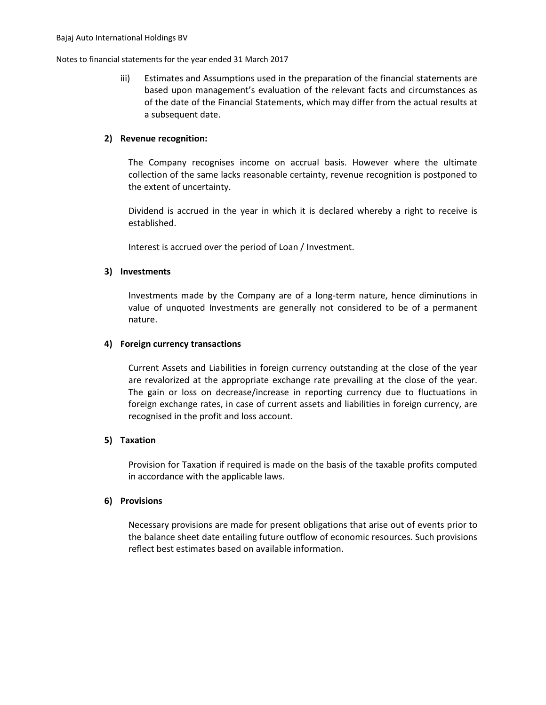iii) Estimates and Assumptions used in the preparation of the financial statements are based upon management's evaluation of the relevant facts and circumstances as of the date of the Financial Statements, which may differ from the actual results at a subsequent date.

#### **2) Revenue recognition:**

The Company recognises income on accrual basis. However where the ultimate collection of the same lacks reasonable certainty, revenue recognition is postponed to the extent of uncertainty.

Dividend is accrued in the year in which it is declared whereby a right to receive is established.

Interest is accrued over the period of Loan / Investment.

# **3) Investments**

Investments made by the Company are of a long-term nature, hence diminutions in value of unquoted Investments are generally not considered to be of a permanent nature.

# **4) Foreign currency transactions**

Current Assets and Liabilities in foreign currency outstanding at the close of the year are revalorized at the appropriate exchange rate prevailing at the close of the year. The gain or loss on decrease/increase in reporting currency due to fluctuations in foreign exchange rates, in case of current assets and liabilities in foreign currency, are recognised in the profit and loss account.

#### **5) Taxation**

Provision for Taxation if required is made on the basis of the taxable profits computed in accordance with the applicable laws.

#### **6) Provisions**

Necessary provisions are made for present obligations that arise out of events prior to the balance sheet date entailing future outflow of economic resources. Such provisions reflect best estimates based on available information.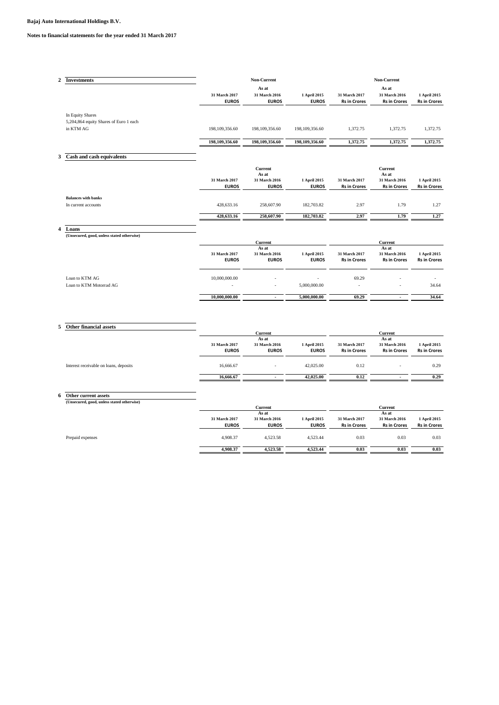| 2 | <b>Investments</b>                         |                  | Non-Current                   | Non-Current                  |                                      |                                      |                                     |
|---|--------------------------------------------|------------------|-------------------------------|------------------------------|--------------------------------------|--------------------------------------|-------------------------------------|
|   |                                            |                  | As at                         |                              |                                      | As at                                |                                     |
|   |                                            | 31 March 2017    | 31 March 2016                 | 1 April 2015                 | 31 March 2017                        | 31 March 2016                        | 1 April 2015                        |
|   |                                            | <b>EUROS</b>     | <b>EUROS</b>                  | <b>EUROS</b>                 | <b>Rs in Crores</b>                  | <b>Rs in Crores</b>                  | <b>Rs in Crores</b>                 |
|   | In Equity Shares                           |                  |                               |                              |                                      |                                      |                                     |
|   | 5,204,864 equity Shares of Euro 1 each     |                  |                               |                              |                                      |                                      |                                     |
|   | in KTM AG                                  | 198, 109, 356.60 | 198, 109, 356.60              | 198,109,356.60               | 1,372.75                             | 1,372.75                             | 1,372.75                            |
|   |                                            | 198,109,356.60   | 198,109,356.60                | 198,109,356.60               | 1,372.75                             | 1,372.75                             | 1,372.75                            |
| 3 | Cash and cash equivalents                  |                  |                               |                              |                                      |                                      |                                     |
|   |                                            |                  |                               |                              |                                      |                                      |                                     |
|   |                                            |                  | <b>Current</b>                |                              |                                      | <b>Current</b>                       |                                     |
|   |                                            | 31 March 2017    | As at                         |                              |                                      | As at                                |                                     |
|   |                                            | <b>EUROS</b>     | 31 March 2016<br><b>EUROS</b> | 1 April 2015<br><b>EUROS</b> | 31 March 2017<br><b>Rs in Crores</b> | 31 March 2016<br><b>Rs in Crores</b> | 1 April 2015<br><b>Rs in Crores</b> |
|   | <b>Balances with banks</b>                 |                  |                               |                              |                                      |                                      |                                     |
|   | In current accounts                        | 428,633.16       | 258,607.90                    | 182,703.82                   | 2.97                                 | 1.79                                 | 1.27                                |
|   |                                            | 428,633.16       | 258,607.90                    | 182,703.82                   | 2.97                                 | 1.79                                 | 1.27                                |
| 4 | Loans                                      |                  |                               |                              |                                      |                                      |                                     |
|   | (Unsecured, good, unless stated otherwise) |                  | Current                       |                              |                                      | Current                              |                                     |
|   |                                            |                  | As at                         |                              |                                      | As at                                |                                     |
|   |                                            | 31 March 2017    | 31 March 2016                 | 1 April 2015                 | 31 March 2017                        | 31 March 2016                        | 1 April 2015                        |
|   |                                            | <b>EUROS</b>     | <b>EUROS</b>                  | <b>EUROS</b>                 | <b>Rs in Crores</b>                  | <b>Rs in Crores</b>                  | <b>Rs in Crores</b>                 |
|   | Loan to KTM AG                             | 10,000,000.00    |                               |                              | 69.29                                |                                      |                                     |
|   | Loan to KTM Motorrad AG                    |                  |                               | 5,000,000.00                 |                                      |                                      | 34.64                               |
|   |                                            | 10.000.000.00    | $\overline{\phantom{a}}$      | 5,000,000.00                 | 69.29                                | $\blacksquare$                       | 34.64                               |

# **5 Other financial assets**

|                                        | Current       |               |              | Current             |                     |                     |
|----------------------------------------|---------------|---------------|--------------|---------------------|---------------------|---------------------|
|                                        |               | As at         |              |                     | As at               |                     |
|                                        | 31 March 2017 | 31 March 2016 | 1 April 2015 | 31 March 2017       | 31 March 2016       | 1 April 2015        |
|                                        | <b>EUROS</b>  | <b>EUROS</b>  | <b>EUROS</b> | <b>Rs in Crores</b> | <b>Rs in Crores</b> | <b>Rs in Crores</b> |
| Interest receivable on loans, deposits | 16,666.67     |               | 42,025.00    | 0.12                |                     | 0.29                |
|                                        | 16.666.67     |               | 42,025,00    | 0.12                |                     | 0.29                |

**6 Other current assets (Unsecured, good, unless stated otherwise)**

|                  |               | Current       |              |                     | Current             |                     |
|------------------|---------------|---------------|--------------|---------------------|---------------------|---------------------|
|                  |               | As at         |              |                     | As at               |                     |
|                  | 31 March 2017 | 31 March 2016 | 1 April 2015 | 31 March 2017       | 31 March 2016       | 1 April 2015        |
|                  | <b>EUROS</b>  | <b>EUROS</b>  | <b>EUROS</b> | <b>Rs in Crores</b> | <b>Rs in Crores</b> | <b>Rs in Crores</b> |
| Prepaid expenses | 4.908.37      | 4.523.58      | 4.523.44     | 0.03                | 0.03                | 0.03                |
|                  | 4.908.37      | 4,523.58      | 4,523.44     | 0.03                | 0.03                | 0.03                |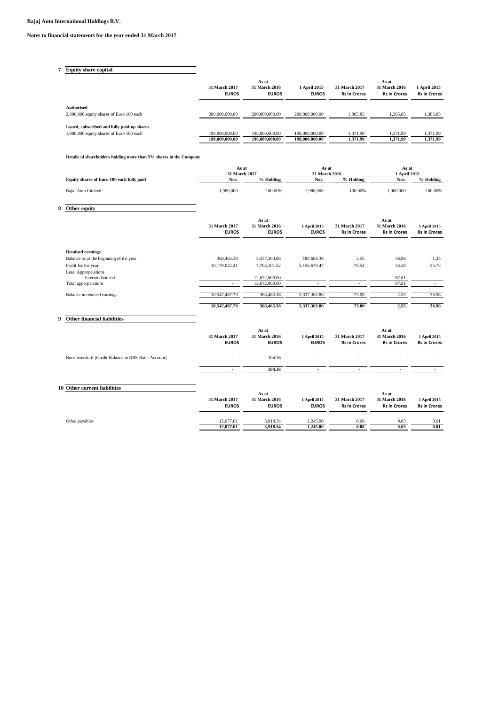# **7 Equity share capital**

|                                                               | 31 March 2017<br><b>EUROS</b> | As at<br>31 March 2016<br><b>EUROS</b> | 1 April 2015<br><b>EUROS</b> | 31 March 2017<br><b>Rs in Crores</b> | As at<br>31 March 2016<br><b>Rs in Crores</b> | 1 April 2015<br><b>Rs in Crores</b> |
|---------------------------------------------------------------|-------------------------------|----------------------------------------|------------------------------|--------------------------------------|-----------------------------------------------|-------------------------------------|
| <b>Authorised</b><br>2,000,000 equity shares of Euro 100 each | 200,000,000.00                | 200,000,000.00                         | 200,000,000,00               | 1.385.85                             | 1.385.85                                      | 1.385.85                            |
| Issued, subscribed and fully paid-up shares                   |                               |                                        |                              |                                      |                                               |                                     |
| 1,980,000 equity shares of Euro 100 each                      | 198,000,000,00                | 198,000,000.00                         | 198,000,000,00               | 1.371.99                             | 1.371.99                                      | 1.371.99                            |
|                                                               | 198,000,000.00                | 198,000,000,00                         | 198,000,000,00               | 1.371.99                             | 1.371.99                                      | 1.371.99                            |

#### **Details of shareholders holding more than 5% shares in the Company**

|   |                                           | As at<br>31 March 2017        |                                        | As at<br>31 March 2016       |                                      | As at<br>1 April 2015                         |                                     |
|---|-------------------------------------------|-------------------------------|----------------------------------------|------------------------------|--------------------------------------|-----------------------------------------------|-------------------------------------|
|   | Equity shares of Euro 100 each fully paid | Nos.                          | % Holding                              | Nos.                         | % Holding                            | Nos.                                          | % Holding                           |
|   | Bajaj Auto Limited                        | 1,980,000                     | 100.00%                                | 1,980,000                    | 100.00%                              | 1,980,000                                     | 100.00%                             |
| 8 | Other equity                              |                               |                                        |                              |                                      |                                               |                                     |
|   |                                           | 31 March 2017<br><b>EUROS</b> | As at<br>31 March 2016<br><b>EUROS</b> | 1 April 2015<br><b>EUROS</b> | 31 March 2017<br><b>Rs in Crores</b> | As at<br>31 March 2016<br><b>Rs in Crores</b> | 1 April 2015<br><b>Rs in Crores</b> |
|   | <b>Retained earnings</b>                  |                               |                                        |                              |                                      |                                               |                                     |
|   | Balance as at the beginning of the year   | 368,465.38                    | 5,337,363.86                           | 180,684.39                   | 2.55                                 | 36.98                                         | 1.25                                |
|   | Profit for the year                       | 10,179,022.41                 | 7,703,101.52                           | 5,156,679.47                 | 70.54                                | 53.38                                         | 35.73                               |
|   | Less: Appropriations<br>Interim dividend  | $\overline{\phantom{a}}$      | 12,672,000.00                          |                              |                                      | 87.81                                         |                                     |
|   | Total appropriations                      | $\sim$                        | 12,672,000.00                          |                              |                                      | 87.81                                         | $\sim$                              |
|   | Balance in retained earnings              | 10,547,487.79                 | 368,465.38                             | 5,337,363.86                 | 73.09                                | 2.55                                          | 36.98                               |
|   |                                           | 10,547,487.79                 | 368,465.38                             | 5,337,363.86                 | 73.09                                | 2.55                                          | 36.98                               |

# **9 Other financial liabilities**

|                                                     | 31 March 2017<br><b>EUROS</b> | As at<br>31 March 2016<br><b>EUROS</b> | 1 April 2015<br><b>EUROS</b> | 31 March 2017<br><b>Rs in Crores</b> | As at<br>31 March 2016<br><b>Rs in Crores</b> | 1 April 2015<br><b>Rs in Crores</b> |
|-----------------------------------------------------|-------------------------------|----------------------------------------|------------------------------|--------------------------------------|-----------------------------------------------|-------------------------------------|
| Book overdraft [Credit Balance in RBS Bank Account] |                               | 104.36                                 | $\sim$                       | ۰                                    |                                               |                                     |
|                                                     |                               | 104.36                                 |                              |                                      |                                               |                                     |
| 10 Other current liabilities                        | 31 March 2017<br><b>EUROS</b> | As at<br>31 March 2016<br><b>EUROS</b> | 1 April 2015<br><b>EUROS</b> | 31 March 2017<br><b>Rs in Crores</b> | As at<br>31 March 2016<br><b>Rs in Crores</b> | 1 April 2015<br><b>Rs in Crores</b> |
| Other payables                                      | 12,077.01<br>12,077.01        | 3,918.34<br>3,918.34                   | 1,245.00<br>1,245.00         | 0.08<br>0.08                         | 0.03<br>0.03                                  | 0.01<br>$\bf{0.01}$                 |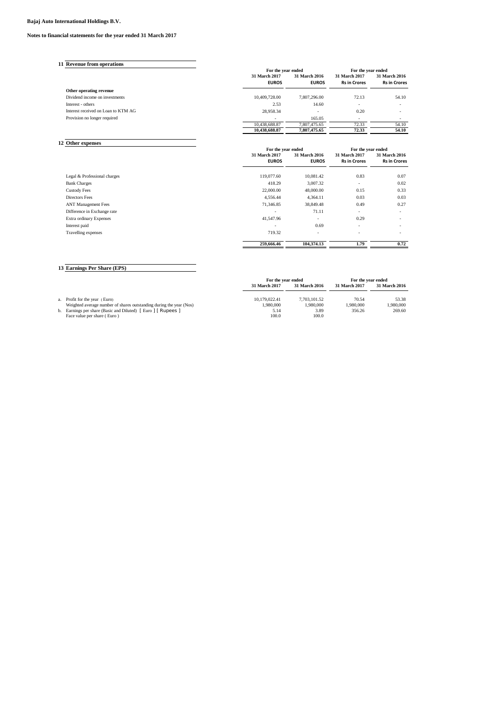#### **Bajaj Auto International Holdings B.V.**

#### **Notes to financial statements for the year ended 31 March 2017**

| 11 Revenue from operations          |                    |               |                     |                          |  |
|-------------------------------------|--------------------|---------------|---------------------|--------------------------|--|
|                                     | For the year ended |               |                     | For the year ended       |  |
|                                     | 31 March 2017      | 31 March 2016 | 31 March 2017       | 31 March 2016            |  |
|                                     | <b>EUROS</b>       | <b>EUROS</b>  | <b>Rs in Crores</b> | <b>Rs in Crores</b>      |  |
| Other operating revenue             |                    |               |                     |                          |  |
| Dividend income on investments      | 10,409,728.00      | 7,807,296.00  | 72.13               | 54.10                    |  |
| Interest - others                   | 2.53               | 14.60         | $\sim$              | $\overline{\phantom{a}}$ |  |
| Interest received on Loan to KTM AG | 28,958.34          | ۰             | 0.20                | $\overline{\phantom{a}}$ |  |
| Provision no longer required        | -                  | 165.05        | $\sim$              |                          |  |
|                                     | 10,438,688.87      | 7.807.475.65  | 72.33               | 54.10                    |  |
|                                     | 10,438,688.87      | 7.807.475.65  | 72.33               | 54.10                    |  |

| 12 Other expenses            |                    |                          |                          |                          |
|------------------------------|--------------------|--------------------------|--------------------------|--------------------------|
|                              | For the year ended |                          | For the year ended       |                          |
|                              | 31 March 2017      | 31 March 2016            | 31 March 2017            | 31 March 2016            |
|                              | <b>EUROS</b>       | <b>EUROS</b>             | <b>Rs in Crores</b>      | <b>Rs in Crores</b>      |
| Legal & Professional charges | 119,077.60         | 10,081.42                | 0.83                     | 0.07                     |
| <b>Bank Charges</b>          | 418.29             | 3,007.32                 | $\overline{\phantom{a}}$ | 0.02                     |
| <b>Custody Fees</b>          | 22,000.00          | 48,000.00                | 0.15                     | 0.33                     |
| Directors Fees               | 4,556.44           | 4,364.11                 | 0.03                     | 0.03                     |
| <b>ANT Management Fees</b>   | 71,346.85          | 38,849.48                | 0.49                     | 0.27                     |
| Difference in Exchange rate  | ۰                  | 71.11                    | $\overline{\phantom{a}}$ | $\overline{\phantom{a}}$ |
| Extra ordinary Expenses      | 41,547.96          | $\overline{\phantom{a}}$ | 0.29                     |                          |
| Interest paid                | ٠                  | 0.69                     | $\overline{\phantom{a}}$ | $\sim$                   |
| Travelling expenses          | 719.32             | $\sim$                   | ٠                        |                          |
|                              | 259,666.46         | 104,374.13               | 1.79                     | 0.72                     |

# **13 Earnings Per Share (EPS)**

|                                                                     | For the vear ended |               | For the vear ended |               |  |
|---------------------------------------------------------------------|--------------------|---------------|--------------------|---------------|--|
|                                                                     | 31 March 2017      | 31 March 2016 | 31 March 2017      | 31 March 2016 |  |
|                                                                     |                    |               |                    |               |  |
| a. Profit for the year (Euro)                                       | 10.179.022.41      | 7.703.101.52  | 70.54              | 53.38         |  |
| Weighted average number of shares outstanding during the year (Nos) | 1.980.000          | 1.980.000     | 1.980.000          | 1.980.000     |  |
| b. Earnings per share (Basic and Diluted) [Euro ] [Rupees ]         | 5.14               | 3.89          | 356.26             | 269.60        |  |
| Face value per share (Euro)                                         | 100.0              | 100.0         |                    |               |  |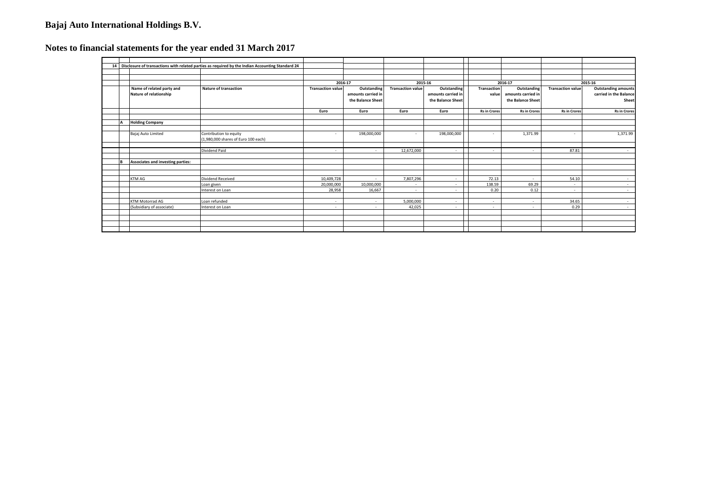# **Bajaj Auto International Holdings B.V.**

# **Notes to financial statements for the year ended 31 March 2017**

|  |                                                     | 14 Disclosure of transactions with related parties as required by the Indian Accounting Standard 24 |                          |                                                        |                          |                                                        |                      |                                                        |                          |                                                               |
|--|-----------------------------------------------------|-----------------------------------------------------------------------------------------------------|--------------------------|--------------------------------------------------------|--------------------------|--------------------------------------------------------|----------------------|--------------------------------------------------------|--------------------------|---------------------------------------------------------------|
|  |                                                     |                                                                                                     |                          |                                                        |                          |                                                        |                      |                                                        |                          |                                                               |
|  |                                                     |                                                                                                     |                          |                                                        |                          |                                                        |                      |                                                        |                          |                                                               |
|  |                                                     |                                                                                                     | 2016-17                  |                                                        | 2015-16                  |                                                        | 2016-17              |                                                        | 2015-16                  |                                                               |
|  | Name of related party and<br>Nature of relationship | <b>Nature of transaction</b>                                                                        | <b>Transaction value</b> | Outstanding<br>amounts carried in<br>the Balance Sheet | <b>Transaction value</b> | Outstanding<br>amounts carried in<br>the Balance Sheet | Transaction<br>value | Outstanding<br>amounts carried in<br>the Balance Sheet | <b>Transaction value</b> | <b>Outstanding amounts</b><br>carried in the Balance<br>Sheet |
|  |                                                     |                                                                                                     | Euro                     | Euro                                                   | Euro                     | Euro                                                   | <b>Rs in Crores</b>  | <b>Rs</b> in Crores                                    | <b>Rs in Crores</b>      | <b>Rs in Crores</b>                                           |
|  |                                                     |                                                                                                     |                          |                                                        |                          |                                                        |                      |                                                        |                          |                                                               |
|  | <b>Holding Company</b>                              |                                                                                                     |                          |                                                        |                          |                                                        |                      |                                                        |                          |                                                               |
|  |                                                     |                                                                                                     |                          |                                                        |                          |                                                        |                      |                                                        |                          |                                                               |
|  | Bajaj Auto Limited                                  | Contribution to equity                                                                              | $\sim$                   | 198,000,000                                            | $\sim$                   | 198,000,000                                            | $\sim$               | 1,371.99                                               | $\sim$                   | 1,371.99                                                      |
|  |                                                     | (1,980,000 shares of Euro 100 each)                                                                 |                          |                                                        |                          |                                                        |                      |                                                        |                          |                                                               |
|  |                                                     | Dividend Paid                                                                                       | $\sim$                   | $\sim$                                                 | 12,672,000               | $\sim$                                                 | $\sim$               | $\overline{a}$                                         | 87.81                    | $\sim$                                                        |
|  |                                                     |                                                                                                     |                          |                                                        |                          |                                                        |                      |                                                        |                          |                                                               |
|  | Associates and investing parties:                   |                                                                                                     |                          |                                                        |                          |                                                        |                      |                                                        |                          |                                                               |
|  |                                                     |                                                                                                     |                          |                                                        |                          |                                                        |                      |                                                        |                          |                                                               |
|  |                                                     |                                                                                                     |                          |                                                        |                          |                                                        |                      |                                                        |                          |                                                               |
|  | <b>KTM AG</b>                                       | Dividend Received                                                                                   | 10,409,728               | $\sim$                                                 | 7,807,296                | $\sim$                                                 | 72.13                | $\sim$                                                 | 54.10                    |                                                               |
|  |                                                     | Loan given                                                                                          | 20,000,000               | 10,000,000                                             | $\sim$                   | $\sim$                                                 | 138.59               | 69.29                                                  | $\sim$                   | $\sim$                                                        |
|  |                                                     | Interest on Loan                                                                                    | 28,958                   | 16,667                                                 | $\sim$                   | $\sim$                                                 | 0.20                 | 0.12                                                   | $\sim$                   | $\sim$                                                        |
|  |                                                     |                                                                                                     |                          |                                                        |                          |                                                        |                      |                                                        |                          |                                                               |
|  | KTM Motorrad AG                                     | Loan refunded                                                                                       | $\sim$                   | $\sim$                                                 | 5,000,000                | $\sim$                                                 | $\sim$               | $\sim$                                                 | 34.65                    | $\sim$                                                        |
|  | (Subsidiary of associate)                           | Interest on Loan                                                                                    | $\sim$                   | $\sim$                                                 | 42.025                   | $\sim$                                                 | $\sim$               | $\sim$                                                 | 0.29                     | $\sim$                                                        |
|  |                                                     |                                                                                                     |                          |                                                        |                          |                                                        |                      |                                                        |                          |                                                               |
|  |                                                     |                                                                                                     |                          |                                                        |                          |                                                        |                      |                                                        |                          |                                                               |
|  |                                                     |                                                                                                     |                          |                                                        |                          |                                                        |                      |                                                        |                          |                                                               |
|  |                                                     |                                                                                                     |                          |                                                        |                          |                                                        |                      |                                                        |                          |                                                               |